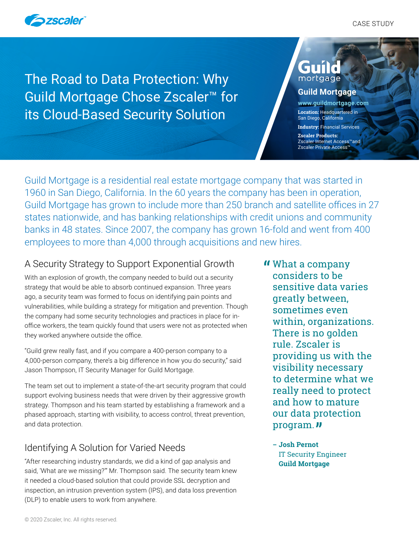

The Road to Data Protection: Why Guild Mortgage Chose Zscaler™ for its Cloud-Based Security Solution

# GUN. mortgage

#### **Guild Mortgage**

**[www.guildmortgage.com](http://www.guildmortgage.com) Location:** Headquartered in San Diego, California **Industry:** Financial Services **Zscaler Products:** Zscaler Internet Access™and Zscaler Private Access™

Guild Mortgage is a residential real estate mortgage company that was started in 1960 in San Diego, California. In the 60 years the company has been in operation, Guild Mortgage has grown to include more than 250 branch and satellite offices in 27 states nationwide, and has banking relationships with credit unions and community banks in 48 states. Since 2007, the company has grown 16-fold and went from 400 employees to more than 4,000 through acquisitions and new hires.

## A Security Strategy to Support Exponential Growth

With an explosion of growth, the company needed to build out a security strategy that would be able to absorb continued expansion. Three years ago, a security team was formed to focus on identifying pain points and vulnerabilities, while building a strategy for mitigation and prevention. Though the company had some security technologies and practices in place for inoffice workers, the team quickly found that users were not as protected when they worked anywhere outside the office.

"Guild grew really fast, and if you compare a 400-person company to a 4,000-person company, there's a big difference in how you do security," said Jason Thompson, IT Security Manager for Guild Mortgage.

The team set out to implement a state-of-the-art security program that could support evolving business needs that were driven by their aggressive growth strategy. Thompson and his team started by establishing a framework and a phased approach, starting with visibility, to access control, threat prevention, and data protection.

# Identifying A Solution for Varied Needs

"After researching industry standards, we did a kind of gap analysis and said, 'What are we missing?'" Mr. Thompson said. The security team knew it needed a cloud-based solution that could provide SSL decryption and inspection, an intrusion prevention system (IPS), and data loss prevention (DLP) to enable users to work from anywhere.

What a company " considers to be sensitive data varies greatly between, sometimes even within, organizations. There is no golden rule. Zscaler is providing us with the visibility necessary to determine what we really need to protect and how to mature our data protection program. <mark>"</mark>

**– Josh Pernot** IT Security Engineer **Guild Mortgage**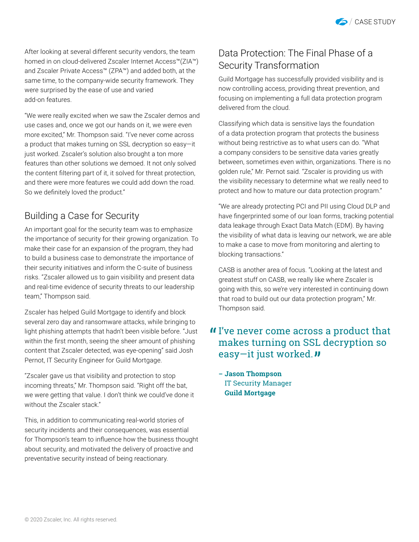

After looking at several different security vendors, the team homed in on cloud-delivered Zscaler Internet Access™(ZIA™) and Zscaler Private Access™ (ZPA™) and added both, at the same time, to the company-wide security framework. They were surprised by the ease of use and varied add-on features.

"We were really excited when we saw the Zscaler demos and use cases and, once we got our hands on it, we were even more excited," Mr. Thompson said. "I've never come across a product that makes turning on SSL decryption so easy—it just worked. Zscaler's solution also brought a ton more features than other solutions we demoed. It not only solved the content filtering part of it, it solved for threat protection, and there were more features we could add down the road. So we definitely loved the product."

### Building a Case for Security

An important goal for the security team was to emphasize the importance of security for their growing organization. To make their case for an expansion of the program, they had to build a business case to demonstrate the importance of their security initiatives and inform the C-suite of business risks. "Zscaler allowed us to gain visibility and present data and real-time evidence of security threats to our leadership team," Thompson said.

Zscaler has helped Guild Mortgage to identify and block several zero day and ransomware attacks, while bringing to light phishing attempts that hadn't been visible before. "Just within the first month, seeing the sheer amount of phishing content that Zscaler detected, was eye-opening" said Josh Pernot, IT Security Engineer for Guild Mortgage.

"Zscaler gave us that visibility and protection to stop incoming threats," Mr. Thompson said. "Right off the bat, we were getting that value. I don't think we could've done it without the Zscaler stack."

This, in addition to communicating real-world stories of security incidents and their consequences, was essential for Thompson's team to influence how the business thought about security, and motivated the delivery of proactive and preventative security instead of being reactionary.

# Data Protection: The Final Phase of a Security Transformation

Guild Mortgage has successfully provided visibility and is now controlling access, providing threat prevention, and focusing on implementing a full data protection program delivered from the cloud.

Classifying which data is sensitive lays the foundation of a data protection program that protects the business without being restrictive as to what users can do. "What a company considers to be sensitive data varies greatly between, sometimes even within, organizations. There is no golden rule," Mr. Pernot said. "Zscaler is providing us with the visibility necessary to determine what we really need to protect and how to mature our data protection program."

"We are already protecting PCI and PII using Cloud DLP and have fingerprinted some of our loan forms, tracking potential data leakage through Exact Data Match (EDM). By having the visibility of what data is leaving our network, we are able to make a case to move from monitoring and alerting to blocking transactions."

CASB is another area of focus. "Looking at the latest and greatest stuff on CASB, we really like where Zscaler is going with this, so we're very interested in continuing down that road to build out our data protection program," Mr. Thompson said.

# If I've never come across a product that<br>makes turning on SSL decryption so makes turning on SSL decryption so easy—it just worked.*"*

**– Jason Thompson** IT Security Manager **Guild Mortgage**